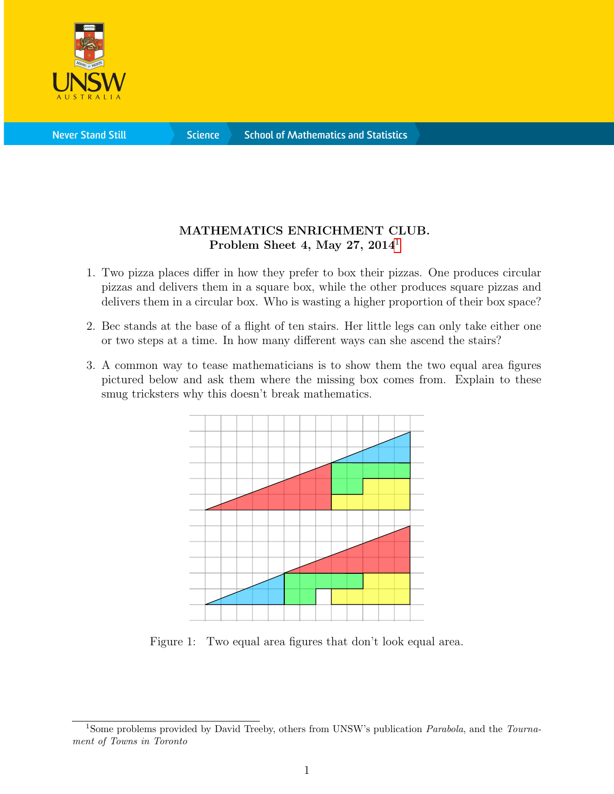

**Science** 

## MATHEMATICS ENRICHMENT CLUB. Problem Sheet 4, May 27,  $2014<sup>1</sup>$  $2014<sup>1</sup>$  $2014<sup>1</sup>$

- 1. Two pizza places differ in how they prefer to box their pizzas. One produces circular pizzas and delivers them in a square box, while the other produces square pizzas and delivers them in a circular box. Who is wasting a higher proportion of their box space?
- 2. Bec stands at the base of a flight of ten stairs. Her little legs can only take either one or two steps at a time. In how many different ways can she ascend the stairs?
- 3. A common way to tease mathematicians is to show them the two equal area figures pictured below and ask them where the missing box comes from. Explain to these smug tricksters why this doesn't break mathematics.



Figure 1: Two equal area figures that don't look equal area.

<span id="page-0-0"></span><sup>&</sup>lt;sup>1</sup>Some problems provided by David Treeby, others from UNSW's publication *Parabola*, and the Tournament of Towns in Toronto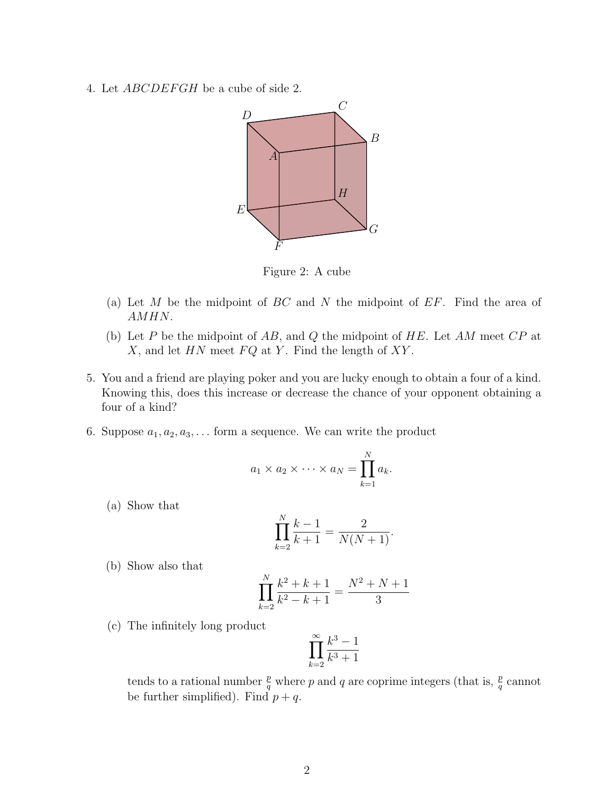4. Let *ABCDEFGH* be a cube of side 2.



Figure 2: A cube

- (a) Let M be the midpoint of  $BC$  and N the midpoint of  $EF$ . Find the area of AMHN.
- (b) Let P be the midpoint of AB, and Q the midpoint of  $HE$ . Let AM meet  $CP$  at  $X$ , and let  $HN$  meet  $FQ$  at  $Y$ . Find the length of  $XY$ .
- 5. You and a friend are playing poker and you are lucky enough to obtain a four of a kind. Knowing this, does this increase or decrease the chance of your opponent obtaining a four of a kind?
- 6. Suppose  $a_1, a_2, a_3, \ldots$  form a sequence. We can write the product

$$
a_1 \times a_2 \times \cdots \times a_N = \prod_{k=1}^N a_k.
$$

(a) Show that

$$
\prod_{k=2}^{N} \frac{k-1}{k+1} = \frac{2}{N(N+1)}.
$$

(b) Show also that

$$
\prod_{k=2}^{N} \frac{k^2 + k + 1}{k^2 - k + 1} = \frac{N^2 + N + 1}{3}
$$

(c) The infinitely long product

$$
\prod_{k=2}^\infty \frac{k^3-1}{k^3+1}
$$

tends to a rational number  $\frac{p}{q}$  where p and q are coprime integers (that is,  $\frac{p}{q}$  cannot be further simplified). Find  $p + q$ .